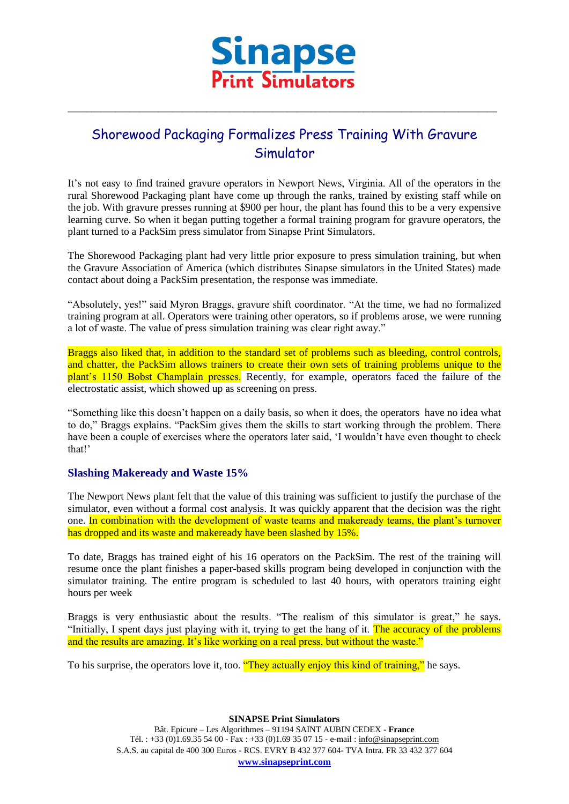

\_\_\_\_\_\_\_\_\_\_\_\_\_\_\_\_\_\_\_\_\_\_\_\_\_\_\_\_\_\_\_\_\_\_\_\_\_\_\_\_\_\_\_\_\_\_\_\_\_\_\_\_\_\_\_\_\_\_\_\_\_\_\_\_\_\_\_\_\_\_\_\_\_\_\_\_\_\_\_\_\_\_\_\_\_\_\_\_\_\_

## Shorewood Packaging Formalizes Press Training With Gravure Simulator

It's not easy to find trained gravure operators in Newport News, Virginia. All of the operators in the rural Shorewood Packaging plant have come up through the ranks, trained by existing staff while on the job. With gravure presses running at \$900 per hour, the plant has found this to be a very expensive learning curve. So when it began putting together a formal training program for gravure operators, the plant turned to a PackSim press simulator from Sinapse Print Simulators.

The Shorewood Packaging plant had very little prior exposure to press simulation training, but when the Gravure Association of America (which distributes Sinapse simulators in the United States) made contact about doing a PackSim presentation, the response was immediate.

"Absolutely, yes!" said Myron Braggs, gravure shift coordinator. "At the time, we had no formalized training program at all. Operators were training other operators, so if problems arose, we were running a lot of waste. The value of press simulation training was clear right away."

Braggs also liked that, in addition to the standard set of problems such as bleeding, control controls, and chatter, the PackSim allows trainers to create their own sets of training problems unique to the plant's 1150 Bobst Champlain presses. Recently, for example, operators faced the failure of the electrostatic assist, which showed up as screening on press.

"Something like this doesn't happen on a daily basis, so when it does, the operators have no idea what to do," Braggs explains. "PackSim gives them the skills to start working through the problem. There have been a couple of exercises where the operators later said, 'I wouldn't have even thought to check that!'

## **Slashing Makeready and Waste 15%**

The Newport News plant felt that the value of this training was sufficient to justify the purchase of the simulator, even without a formal cost analysis. It was quickly apparent that the decision was the right one. In combination with the development of waste teams and makeready teams, the plant's turnover has dropped and its waste and makeready have been slashed by 15%.

To date, Braggs has trained eight of his 16 operators on the PackSim. The rest of the training will resume once the plant finishes a paper-based skills program being developed in conjunction with the simulator training. The entire program is scheduled to last 40 hours, with operators training eight hours per week

Braggs is very enthusiastic about the results. "The realism of this simulator is great," he says. "Initially, I spent days just playing with it, trying to get the hang of it. The accuracy of the problems and the results are amazing. It's like working on a real press, but without the waste."

To his surprise, the operators love it, too. "They actually enjoy this kind of training," he says.

**SINAPSE Print Simulators** Bât. Epicure – Les Algorithmes – 91194 SAINT AUBIN CEDEX - **France** Tél. : +33 (0)1.69.35 54 00 - Fax : +33 (0)1.69 35 07 15 - e-mail : info@sinapseprint.com S.A.S. au capital de 400 300 Euros - RCS. EVRY B 432 377 604- TVA Intra. FR 33 432 377 604 **[www.sinapseprint.com](http://www.sinapseprint.com/)**